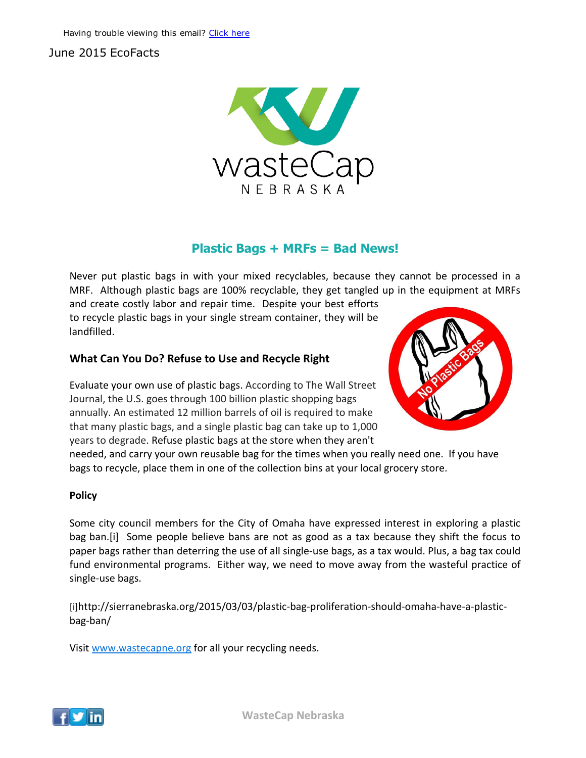# June 2015 EcoFacts



## Plastic Bags + MRFs = Bad News!

Never put plastic bags in with your mixed recyclables, because they cannot be processed in a MRF. Although plastic bags are 100% recyclable, they get tangled up in the equipment at MRFs

and create costly labor and repair time. Despite your best efforts to recycle plastic bags in your single stream container, they will be landfilled.

### What Can You Do? Refuse to Use and Recycle Right

Evaluate your own use of plastic bags. According to The Wall Street Journal, the U.S. goes through 100 billion plastic shopping bags annually. An estimated 12 million barrels of oil is required to make that many plastic bags, and a single plastic bag can take up to 1,000 years to degrade. Refuse plastic bags at the store when they aren't



needed, and carry your own reusable bag for the times when you really need one. If you have bags to recycle, place them in one of the collection bins at your local grocery store.

### Policy

Some city council members for the City of Omaha have expressed interest in exploring a plastic bag ban.[i] Some people believe bans are not as good as a tax because they shift the focus to paper bags rather than deterring the use of all single‐use bags, as a tax would. Plus, a bag tax could fund environmental programs. Either way, we need to move away from the wasteful practice of single‐use bags.

[i]http://sierranebraska.org/2015/03/03/plastic‐bag‐proliferation‐should‐omaha‐have‐a‐plastic‐ bag‐ban/

Visit www.wastecapne.org for all your recycling needs.